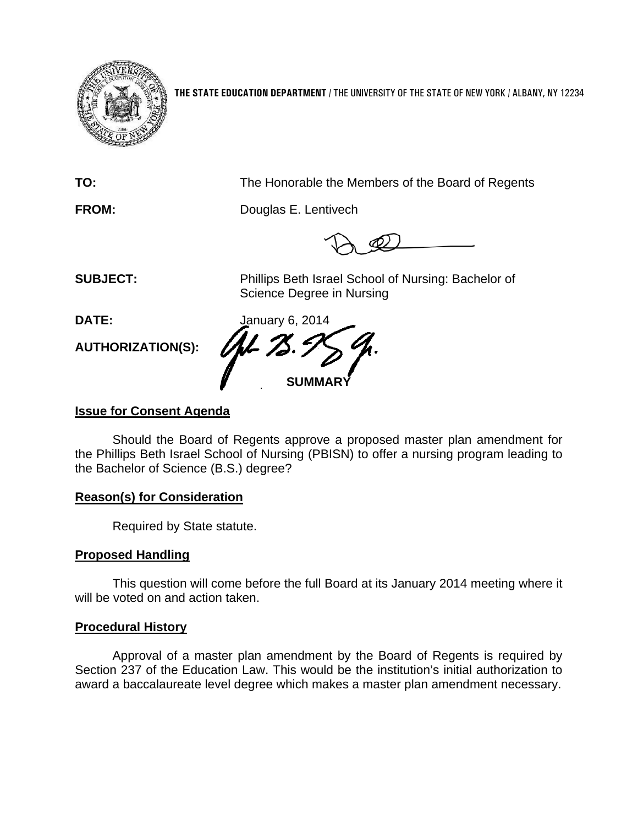

**THE STATE EDUCATION DEPARTMENT** / THE UNIVERSITY OF THE STATE OF NEW YORK / ALBANY, NY 12234

**TO:** The Honorable the Members of the Board of Regents

**FROM:** Douglas E. Lentivech

**SUBJECT:** Phillips Beth Israel School of Nursing: Bachelor of Science Degree in Nursing

**AUTHORIZATION(S):** 

**DATE:** January 6, 2014 **SUMM** 

## **Issue for Consent Agenda**

Should the Board of Regents approve a proposed master plan amendment for the Phillips Beth Israel School of Nursing (PBISN) to offer a nursing program leading to the Bachelor of Science (B.S.) degree?

## **Reason(s) for Consideration**

Required by State statute.

# **Proposed Handling**

This question will come before the full Board at its January 2014 meeting where it will be voted on and action taken.

## **Procedural History**

Approval of a master plan amendment by the Board of Regents is required by Section 237 of the Education Law. This would be the institution's initial authorization to award a baccalaureate level degree which makes a master plan amendment necessary.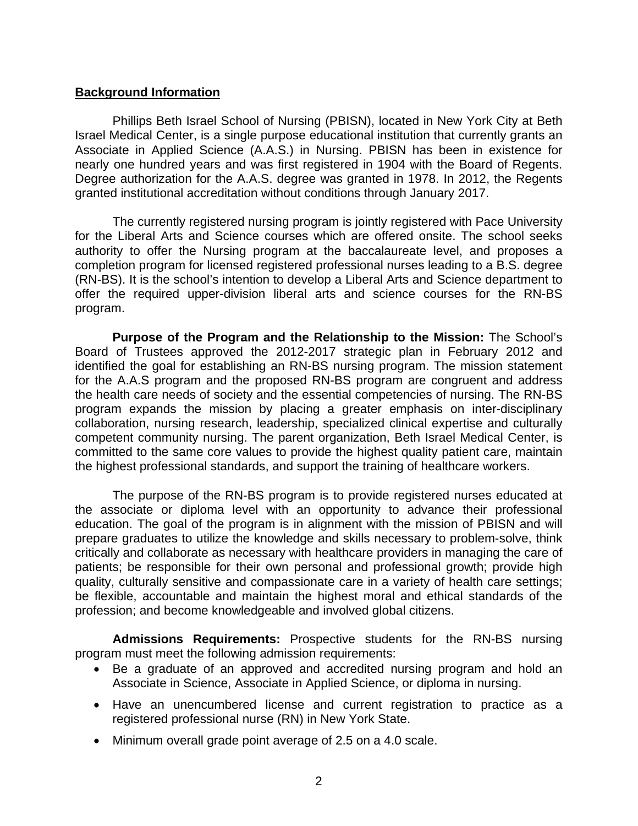### **Background Information**

 Phillips Beth Israel School of Nursing (PBISN), located in New York City at Beth Israel Medical Center, is a single purpose educational institution that currently grants an Associate in Applied Science (A.A.S.) in Nursing. PBISN has been in existence for nearly one hundred years and was first registered in 1904 with the Board of Regents. Degree authorization for the A.A.S. degree was granted in 1978. In 2012, the Regents granted institutional accreditation without conditions through January 2017.

 The currently registered nursing program is jointly registered with Pace University for the Liberal Arts and Science courses which are offered onsite. The school seeks authority to offer the Nursing program at the baccalaureate level, and proposes a completion program for licensed registered professional nurses leading to a B.S. degree (RN-BS). It is the school's intention to develop a Liberal Arts and Science department to offer the required upper-division liberal arts and science courses for the RN-BS program.

 **Purpose of the Program and the Relationship to the Mission:** The School's Board of Trustees approved the 2012-2017 strategic plan in February 2012 and identified the goal for establishing an RN-BS nursing program. The mission statement for the A.A.S program and the proposed RN-BS program are congruent and address the health care needs of society and the essential competencies of nursing. The RN-BS program expands the mission by placing a greater emphasis on inter-disciplinary collaboration, nursing research, leadership, specialized clinical expertise and culturally competent community nursing. The parent organization, Beth Israel Medical Center, is committed to the same core values to provide the highest quality patient care, maintain the highest professional standards, and support the training of healthcare workers.

 The purpose of the RN-BS program is to provide registered nurses educated at the associate or diploma level with an opportunity to advance their professional education. The goal of the program is in alignment with the mission of PBISN and will prepare graduates to utilize the knowledge and skills necessary to problem-solve, think critically and collaborate as necessary with healthcare providers in managing the care of patients; be responsible for their own personal and professional growth; provide high quality, culturally sensitive and compassionate care in a variety of health care settings; be flexible, accountable and maintain the highest moral and ethical standards of the profession; and become knowledgeable and involved global citizens.

 **Admissions Requirements:** Prospective students for the RN-BS nursing program must meet the following admission requirements:

- Be a graduate of an approved and accredited nursing program and hold an Associate in Science, Associate in Applied Science, or diploma in nursing.
- Have an unencumbered license and current registration to practice as a registered professional nurse (RN) in New York State.
- Minimum overall grade point average of 2.5 on a 4.0 scale.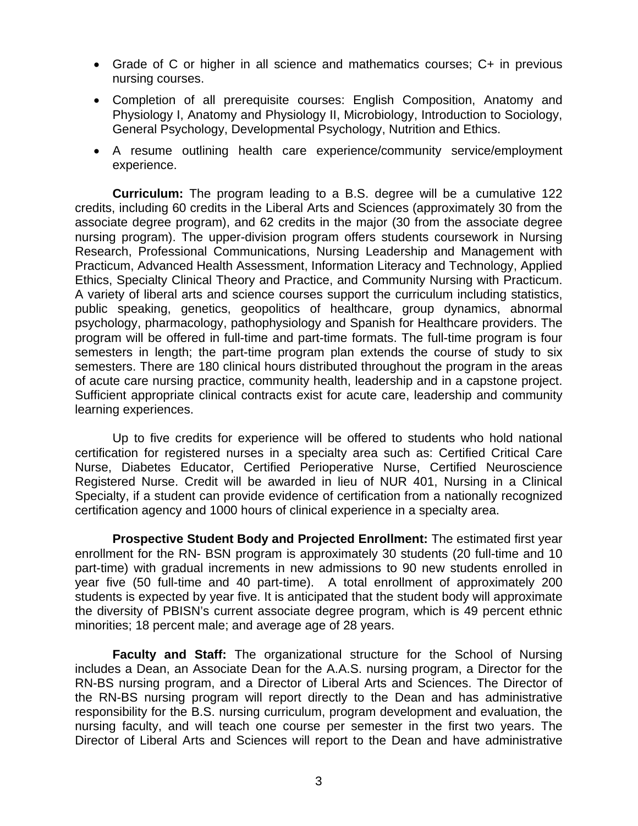- Grade of C or higher in all science and mathematics courses; C+ in previous nursing courses.
- Completion of all prerequisite courses: English Composition, Anatomy and Physiology I, Anatomy and Physiology II, Microbiology, Introduction to Sociology, General Psychology, Developmental Psychology, Nutrition and Ethics.
- A resume outlining health care experience/community service/employment experience.

 **Curriculum:** The program leading to a B.S. degree will be a cumulative 122 credits, including 60 credits in the Liberal Arts and Sciences (approximately 30 from the associate degree program), and 62 credits in the major (30 from the associate degree nursing program). The upper-division program offers students coursework in Nursing Research, Professional Communications, Nursing Leadership and Management with Practicum, Advanced Health Assessment, Information Literacy and Technology, Applied Ethics, Specialty Clinical Theory and Practice, and Community Nursing with Practicum. A variety of liberal arts and science courses support the curriculum including statistics, public speaking, genetics, geopolitics of healthcare, group dynamics, abnormal psychology, pharmacology, pathophysiology and Spanish for Healthcare providers. The program will be offered in full-time and part-time formats. The full-time program is four semesters in length; the part-time program plan extends the course of study to six semesters. There are 180 clinical hours distributed throughout the program in the areas of acute care nursing practice, community health, leadership and in a capstone project. Sufficient appropriate clinical contracts exist for acute care, leadership and community learning experiences.

 Up to five credits for experience will be offered to students who hold national certification for registered nurses in a specialty area such as: Certified Critical Care Nurse, Diabetes Educator, Certified Perioperative Nurse, Certified Neuroscience Registered Nurse. Credit will be awarded in lieu of NUR 401, Nursing in a Clinical Specialty, if a student can provide evidence of certification from a nationally recognized certification agency and 1000 hours of clinical experience in a specialty area.

 **Prospective Student Body and Projected Enrollment:** The estimated first year enrollment for the RN- BSN program is approximately 30 students (20 full-time and 10 part-time) with gradual increments in new admissions to 90 new students enrolled in year five (50 full-time and 40 part-time). A total enrollment of approximately 200 students is expected by year five. It is anticipated that the student body will approximate the diversity of PBISN's current associate degree program, which is 49 percent ethnic minorities; 18 percent male; and average age of 28 years.

**Faculty and Staff:** The organizational structure for the School of Nursing includes a Dean, an Associate Dean for the A.A.S. nursing program, a Director for the RN-BS nursing program, and a Director of Liberal Arts and Sciences. The Director of the RN-BS nursing program will report directly to the Dean and has administrative responsibility for the B.S. nursing curriculum, program development and evaluation, the nursing faculty, and will teach one course per semester in the first two years. The Director of Liberal Arts and Sciences will report to the Dean and have administrative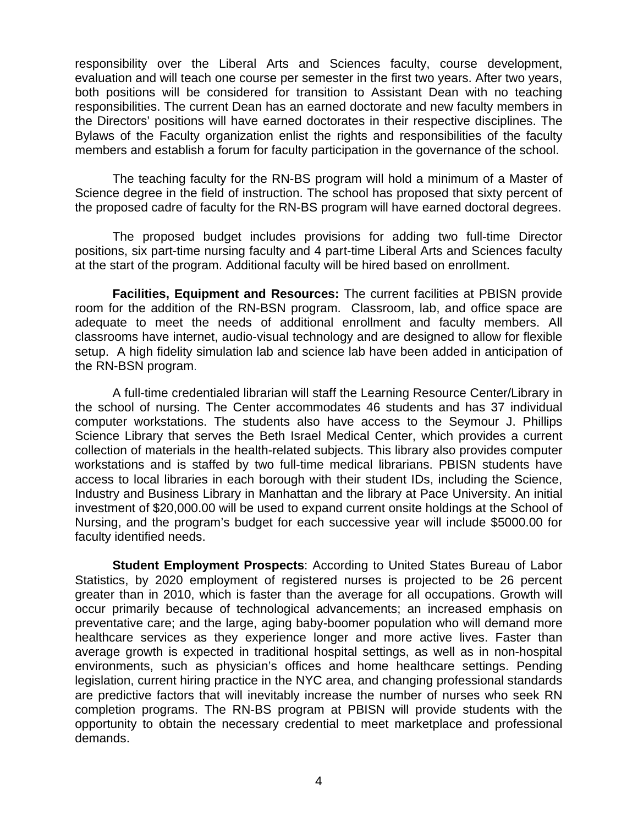responsibility over the Liberal Arts and Sciences faculty, course development, evaluation and will teach one course per semester in the first two years. After two years, both positions will be considered for transition to Assistant Dean with no teaching responsibilities. The current Dean has an earned doctorate and new faculty members in the Directors' positions will have earned doctorates in their respective disciplines. The Bylaws of the Faculty organization enlist the rights and responsibilities of the faculty members and establish a forum for faculty participation in the governance of the school.

The teaching faculty for the RN-BS program will hold a minimum of a Master of Science degree in the field of instruction. The school has proposed that sixty percent of the proposed cadre of faculty for the RN-BS program will have earned doctoral degrees.

The proposed budget includes provisions for adding two full-time Director positions, six part-time nursing faculty and 4 part-time Liberal Arts and Sciences faculty at the start of the program. Additional faculty will be hired based on enrollment.

**Facilities, Equipment and Resources:** The current facilities at PBISN provide room for the addition of the RN-BSN program. Classroom, lab, and office space are adequate to meet the needs of additional enrollment and faculty members. All classrooms have internet, audio-visual technology and are designed to allow for flexible setup. A high fidelity simulation lab and science lab have been added in anticipation of the RN-BSN program.

A full-time credentialed librarian will staff the Learning Resource Center/Library in the school of nursing. The Center accommodates 46 students and has 37 individual computer workstations. The students also have access to the Seymour J. Phillips Science Library that serves the Beth Israel Medical Center, which provides a current collection of materials in the health-related subjects. This library also provides computer workstations and is staffed by two full-time medical librarians. PBISN students have access to local libraries in each borough with their student IDs, including the Science, Industry and Business Library in Manhattan and the library at Pace University. An initial investment of \$20,000.00 will be used to expand current onsite holdings at the School of Nursing, and the program's budget for each successive year will include \$5000.00 for faculty identified needs.

**Student Employment Prospects**: According to United States Bureau of Labor Statistics, by 2020 employment of registered nurses is projected to be 26 percent greater than in 2010, which is faster than the average for all occupations. Growth will occur primarily because of technological advancements; an increased emphasis on preventative care; and the large, aging baby-boomer population who will demand more healthcare services as they experience longer and more active lives. Faster than average growth is expected in traditional hospital settings, as well as in non-hospital environments, such as physician's offices and home healthcare settings. Pending legislation, current hiring practice in the NYC area, and changing professional standards are predictive factors that will inevitably increase the number of nurses who seek RN completion programs. The RN-BS program at PBISN will provide students with the opportunity to obtain the necessary credential to meet marketplace and professional demands.